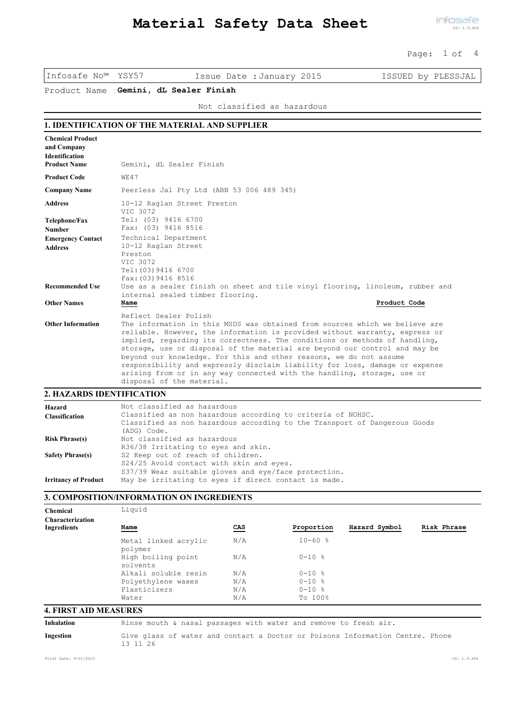#### Page: 1 of 4

Infosafe No™ YSY57 Issue Date :January 2015 ISSUED by PLESSJAL

Product Name :**Gemini, dL Sealer Finish**

Not classified as hazardous

## **1. IDENTIFICATION OF THE MATERIAL AND SUPPLIER**

| Gemini, dL Sealer Finish                                                                                                                                                                                                                                                                                                                                                                                                                                                                                                                                                                                     |                     |
|--------------------------------------------------------------------------------------------------------------------------------------------------------------------------------------------------------------------------------------------------------------------------------------------------------------------------------------------------------------------------------------------------------------------------------------------------------------------------------------------------------------------------------------------------------------------------------------------------------------|---------------------|
| WE47                                                                                                                                                                                                                                                                                                                                                                                                                                                                                                                                                                                                         |                     |
| Peerless Jal Pty Ltd (ABN 53 006 489 345)                                                                                                                                                                                                                                                                                                                                                                                                                                                                                                                                                                    |                     |
| 10-12 Raglan Street Preston<br>VIC 3072                                                                                                                                                                                                                                                                                                                                                                                                                                                                                                                                                                      |                     |
| Tel: (03) 9416 6700<br>Fax: (03) 9416 8516                                                                                                                                                                                                                                                                                                                                                                                                                                                                                                                                                                   |                     |
| Technical Department<br>10-12 Raglan Street<br>Preston<br>VIC 3072<br>Tel: (03) 9416 6700                                                                                                                                                                                                                                                                                                                                                                                                                                                                                                                    |                     |
| Use as a sealer finish on sheet and tile vinyl flooring, linoleum, rubber and<br>internal sealed timber flooring.                                                                                                                                                                                                                                                                                                                                                                                                                                                                                            |                     |
| Product Code<br>Name                                                                                                                                                                                                                                                                                                                                                                                                                                                                                                                                                                                         |                     |
| Reflect Sealer Polish<br>The information in this MSDS was obtained from sources which we believe are<br>reliable. However, the information is provided without warranty, express or<br>implied, regarding its correctness. The conditions or methods of handling,<br>storage, use or disposal of the material are beyond our control and may be<br>beyond our knowledge. For this and other reasons, we do not assume<br>responsibility and expressly disclaim liability for loss, damage or expense<br>arising from or in any way connected with the handling, storage, use or<br>disposal of the material. |                     |
|                                                                                                                                                                                                                                                                                                                                                                                                                                                                                                                                                                                                              | Fax: (03) 9416 8516 |

#### Not classified as hazardous Classified as non hazardous according to criteria of NOHSC. Classified as non hazardous according to the Transport of Dangerous Goods (ADG) Code. **Hazard Classification** Not classified as hazardous R36/38 Irritating to eyes and skin. **Risk Phrase(s)** S2 Keep out of reach of children. S24/25 Avoid contact with skin and eyes. S37/39 Wear suitable gloves and eye/face protection. **Safety Phrase(s) Irritancy of Product** May be irritating to eyes if direct contact is made.

#### **3. COMPOSITION/INFORMATION ON INGREDIENTS**

| Chemical                | Liquid                          |     |             |               |             |
|-------------------------|---------------------------------|-----|-------------|---------------|-------------|
| <b>Characterization</b> |                                 |     |             |               |             |
| Ingredients             | <u>Name</u>                     | CAS | Proportion  | Hazard Symbol | Risk Phrase |
|                         | Metal linked acrylic<br>polymer | N/A | $10 - 60$ % |               |             |
|                         | High boiling point<br>solvents  | N/A | $0 - 10$ %  |               |             |
|                         | Alkali soluble resin            | N/A | $0 - 10$ %  |               |             |
|                         | Polyethylene waxes              | N/A | $0 - 10$ %  |               |             |
|                         | Plasticizers                    | N/A | $0 - 10$ %  |               |             |
|                         | Water                           | N/A | To 100%     |               |             |

## **4. FIRST AID MEASURES**

| Inhalation |  |  | Rinse mouth & nasal passages with water and remove to fresh air. |  |  |  |  |
|------------|--|--|------------------------------------------------------------------|--|--|--|--|
|            |  |  |                                                                  |  |  |  |  |

Give glass of water and contact a Doctor or Poisons Information Centre. Phone 13 11 26 **Ingestion**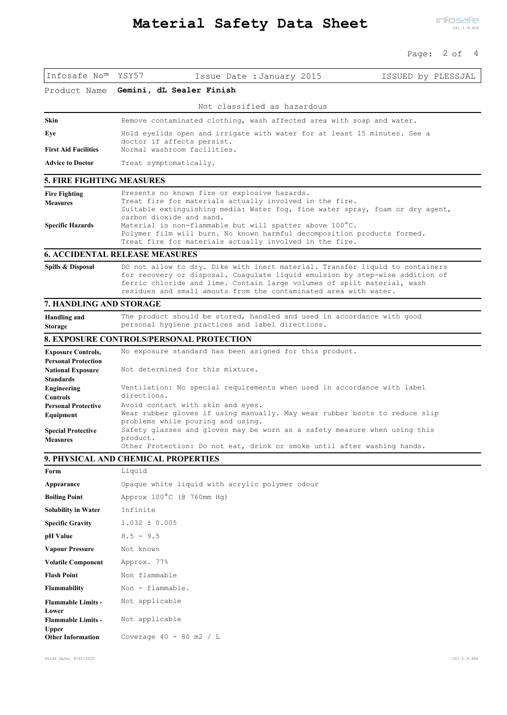#### Page: 2 of 4

| Infosafe No™ YSY57                                      |                        | Issue Date : January 2015                                                                                                                                    | ISSUED by PLESSJAL |
|---------------------------------------------------------|------------------------|--------------------------------------------------------------------------------------------------------------------------------------------------------------|--------------------|
| Product Name                                            |                        | Gemini, dL Sealer Finish                                                                                                                                     |                    |
|                                                         |                        | Not classified as hazardous                                                                                                                                  |                    |
| Skin                                                    |                        | Remove contaminated clothing, wash affected area with soap and water.                                                                                        |                    |
| Eye                                                     |                        | Hold eyelids open and irrigate with water for at least 15 minutes. See a                                                                                     |                    |
| <b>First Aid Facilities</b>                             |                        | doctor if affects persist.<br>Normal washroom facilities.                                                                                                    |                    |
| <b>Advice to Doctor</b>                                 | Treat symptomatically. |                                                                                                                                                              |                    |
| <b>5. FIRE FIGHTING MEASURES</b>                        |                        |                                                                                                                                                              |                    |
| <b>Fire Fighting</b>                                    |                        | Presents no known fire or explosive hazards.                                                                                                                 |                    |
| <b>Measures</b>                                         |                        | Treat fire for materials actually involved in the fire.<br>Suitable extinguishing media: Water fog, fine water spray, foam or dry agent,                     |                    |
| <b>Specific Hazards</b>                                 |                        | carbon dioxide and sand.<br>Material is non-flammable but will spatter above $100^{\circ}$ C.                                                                |                    |
|                                                         |                        | Polymer film will burn. No known harmful decomposition products formed.                                                                                      |                    |
|                                                         |                        | Treat fire for materials actually involved in the fire.                                                                                                      |                    |
| <b>6. ACCIDENTAL RELEASE MEASURES</b>                   |                        |                                                                                                                                                              |                    |
| Spills & Disposal                                       |                        | DO not allow to dry. Dike with inert material. Transfer liquid to containers<br>for recovery or disposal. Coagulate liquid emulsion by step-wise addition of |                    |
|                                                         |                        | ferric chloride and lime. Contain large volumes of spilt material, wash                                                                                      |                    |
|                                                         |                        | residues and small amouts from the contaminated area with water.                                                                                             |                    |
| 7. HANDLING AND STORAGE                                 |                        |                                                                                                                                                              |                    |
| <b>Handling and</b><br><b>Storage</b>                   |                        | The product should be stored, handled and used in accordance with good<br>personal hygiene practices and label directions.                                   |                    |
|                                                         |                        | <b>8. EXPOSURE CONTROLS/PERSONAL PROTECTION</b>                                                                                                              |                    |
| <b>Exposure Controls,</b><br><b>Personal Protection</b> |                        | No exposure standard has been asigned for this product.                                                                                                      |                    |
| <b>National Exposure</b>                                |                        | Not determined for this mixture.                                                                                                                             |                    |
| <b>Standards</b>                                        |                        |                                                                                                                                                              |                    |
| Engineering<br><b>Controls</b>                          | directions.            | Ventilation: No special requirements when used in accordance with label                                                                                      |                    |
| <b>Personal Protective</b>                              |                        | Avoid contact with skin and eyes.                                                                                                                            |                    |
| Equipment                                               |                        | Wear rubber gloves if using manually. May wear rubber boots to reduce slip<br>problems while pouring and using.                                              |                    |
| <b>Special Protective</b>                               | product.               | Safety glasses and gloves may be worn as a safety measure when using this                                                                                    |                    |
| <b>Measures</b>                                         |                        | Other Protection: Do not eat, drink or smoke until after washing hands.                                                                                      |                    |
| 9. PHYSICAL AND CHEMICAL PROPERTIES                     |                        |                                                                                                                                                              |                    |
| Form                                                    | Liquid                 |                                                                                                                                                              |                    |
| Appearance                                              |                        | Opaque white liquid with acrylic polymer odour                                                                                                               |                    |
| <b>Boiling Point</b>                                    |                        | Approx 100°C (@ 760mm Hg)                                                                                                                                    |                    |
| <b>Solubility in Water</b>                              | Infinite               |                                                                                                                                                              |                    |
| <b>Specific Gravity</b>                                 | $1.032 \pm 0.005$      |                                                                                                                                                              |                    |
| pH Value                                                | $8.5 - 9.5$            |                                                                                                                                                              |                    |
| <b>Vapour Pressure</b>                                  | Not known              |                                                                                                                                                              |                    |
| <b>Volatile Component</b>                               | Approx. 77%            |                                                                                                                                                              |                    |
| <b>Flash Point</b>                                      | Non flammable          |                                                                                                                                                              |                    |
| Flammability                                            | Non - flammable.       |                                                                                                                                                              |                    |
| <b>Flammable Limits -</b><br>Lower                      | Not applicable         |                                                                                                                                                              |                    |
| <b>Flammable Limits -</b>                               | Not applicable         |                                                                                                                                                              |                    |

**Upper**

**Other Information** Coverage 40 - 80 m2 / L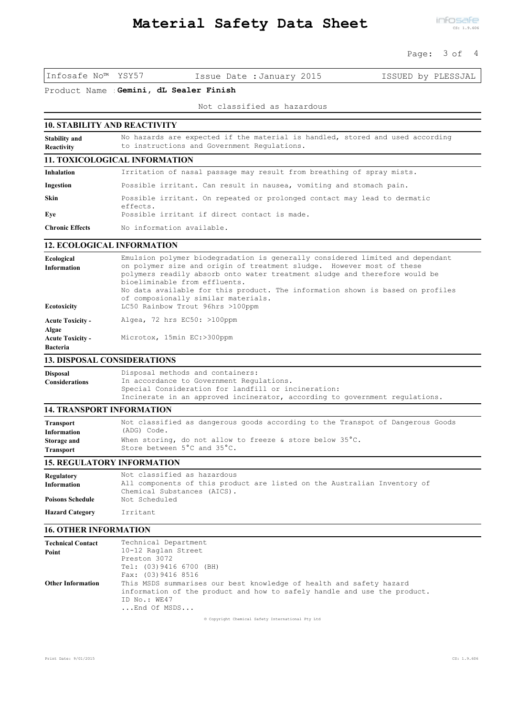## Page: 3 of 4

Infosafe No™ YSY57 Issue Date :January 2015 ISSUED by PLESSJAL

Product Name :**Gemini, dL Sealer Finish**

## Not classified as hazardous

| <b>10. STABILITY AND REACTIVITY</b> |                                                                                                                              |  |  |  |  |
|-------------------------------------|------------------------------------------------------------------------------------------------------------------------------|--|--|--|--|
| <b>Stability and</b><br>Reactivity  | No hazards are expected if the material is handled, stored and used according<br>to instructions and Government Regulations. |  |  |  |  |
|                                     | <b>11. TOXICOLOGICAL INFORMATION</b>                                                                                         |  |  |  |  |
| <b>Inhalation</b>                   | Irritation of nasal passage may result from breathing of spray mists.                                                        |  |  |  |  |
| Ingestion                           | Possible irritant. Can result in nausea, vomiting and stomach pain.                                                          |  |  |  |  |
| <b>Skin</b>                         | Possible irritant. On repeated or prolonged contact may lead to dermatic<br>effects.                                         |  |  |  |  |
| Eye                                 | Possible irritant if direct contact is made.                                                                                 |  |  |  |  |
| <b>Chronic Effects</b>              | No information available.                                                                                                    |  |  |  |  |

## **12. ECOLOGICAL INFORMATION**

| Ecological<br><b>Information</b>                    | Emulsion polymer biodegradation is generally considered limited and dependant<br>on polymer size and origin of treatment sludge. However most of these    |
|-----------------------------------------------------|-----------------------------------------------------------------------------------------------------------------------------------------------------------|
|                                                     | polymers readily absorb onto water treatment sludge and therefore would be<br>bioeliminable from effluents.                                               |
| Ecotoxicity                                         | No data available for this product. The information shown is based on profiles<br>of composionally similar materials.<br>LC50 Rainbow Trout 96hrs >100ppm |
| <b>Acute Toxicity -</b>                             | Algea, 72 hrs $EC50:$ >100ppm                                                                                                                             |
| Algae<br><b>Acute Toxicity -</b><br><b>Bacteria</b> | Microtox, 15min EC:>300ppm                                                                                                                                |
| <b>13. DISPOSAL CONSIDERATIONS</b>                  |                                                                                                                                                           |

| <b>Disposal</b>       | Disposal methods and containers:                                            |
|-----------------------|-----------------------------------------------------------------------------|
| <b>Considerations</b> | In accordance to Government Regulations.                                    |
|                       | Special Consideration for landfill or incineration:                         |
|                       | Incinerate in an approved incinerator, according to government regulations. |

## **14. TRANSPORT INFORMATION**

| <b>Transport</b>   | Not classified as dangerous goods according to the Transpot of Dangerous Goods |
|--------------------|--------------------------------------------------------------------------------|
| <b>Information</b> | (ADG) Code.                                                                    |
| Storage and        | When storing, do not allow to freeze & store below $35^{\circ}$ C.             |
| <b>Transport</b>   | Store between 5°C and 35°C.                                                    |

#### **15. REGULATORY INFORMATION**

| <b>Regulatory</b><br><b>Information</b><br><b>Poisons Schedule</b> | Not classified as hazardous<br>All components of this product are listed on the Australian Inventory of<br>Chemical Substances (AICS).<br>Not Scheduled |
|--------------------------------------------------------------------|---------------------------------------------------------------------------------------------------------------------------------------------------------|
| <b>Hazard Category</b>                                             | Irritant                                                                                                                                                |

## **16. OTHER INFORMATION**

| <b>Technical Contact</b> | Technical Department                                                     |
|--------------------------|--------------------------------------------------------------------------|
| Point                    | 10-12 Raglan Street                                                      |
|                          | Preston 3072                                                             |
|                          | Tel: (03) 9416 6700 (BH)                                                 |
|                          | Fax: (03) 9416 8516                                                      |
| <b>Other Information</b> | This MSDS summarises our best knowledge of health and safety hazard      |
|                          | information of the product and how to safely handle and use the product. |
|                          | ID No.: WE47                                                             |
|                          | End Of MSDS                                                              |
|                          |                                                                          |

© Copyright Chemical Safety International Pty Ltd